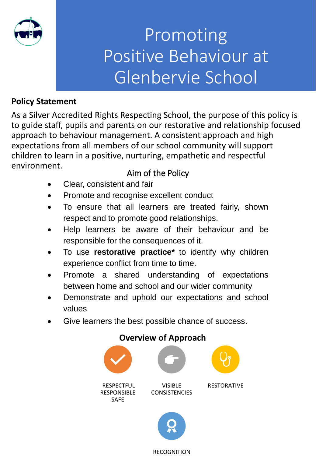

## Promoting Positive Behaviour at Glenbervie School

#### **Policy Statement**

As a Silver Accredited Rights Respecting School, the purpose of this policy is to guide staff, pupils and parents on our restorative and relationship focused approach to behaviour management. A consistent approach and high expectations from all members of our school community will support children to learn in a positive, nurturing, empathetic and respectful environment.

### Aim of the Policy

- Clear, consistent and fair
- Promote and recognise excellent conduct
- To ensure that all learners are treated fairly, shown respect and to promote good relationships.
- Help learners be aware of their behaviour and be responsible for the consequences of it.
- To use **restorative practice\*** to identify why children experience conflict from time to time.
- Promote a shared understanding of expectations between home and school and our wider community
- Demonstrate and uphold our expectations and school values
- Give learners the best possible chance of success.

### **Overview of Approach** RESPECTFUL RESPONSIBLE SAFE VISIBLE **CONSISTENCIES** RESTORATIVE

#### RECOGNITION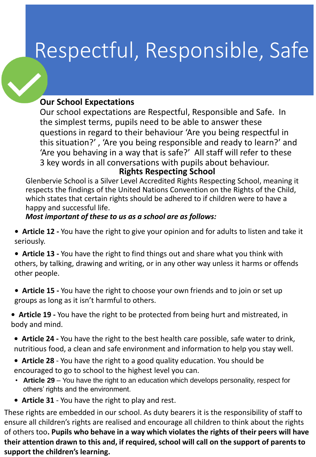# Respectful, Responsible, Safe

#### **Our School Expectations**

Our school expectations are Respectful, Responsible and Safe. In the simplest terms, pupils need to be able to answer these questions in regard to their behaviour 'Are you being respectful in this situation?' , 'Are you being responsible and ready to learn?' and 'Are you behaving in a way that is safe?' All staff will refer to these 3 key words in all conversations with pupils about behaviour. **Rights Respecting School**

Glenbervie School is a Silver Level Accredited Rights Respecting School, meaning it respects the findings of the United Nations Convention on the Rights of the Child, which states that certain rights should be adhered to if children were to have a happy and successful life.

#### *Most important of these to us as a school are as follows:*

- **Article 12 -** You have the right to give your opinion and for adults to listen and take it seriously.
- **Article 13 -** You have the right to find things out and share what you think with others, by talking, drawing and writing, or in any other way unless it harms or offends other people.
- **Article 15 -** You have the right to choose your own friends and to join or set up groups as long as it isn't harmful to others.
- **Article 19 -** You have the right to be protected from being hurt and mistreated, in body and mind.
- **Article 24 -** You have the right to the best health care possible, safe water to drink, nutritious food, a clean and safe environment and information to help you stay well.
- **Article 28**  You have the right to a good quality education. You should be encouraged to go to school to the highest level you can.
- **Article 29**  You have the right to an education which develops personality, respect for others' rights and the environment.
- **Article 31**  You have the right to play and rest.

These rights are embedded in our school. As duty bearers it is the responsibility of staff to ensure all children's rights are realised and encourage all children to think about the rights of others too**. Pupils who behave in a way which violates the rights of their peers will have their attention drawn to this and, if required, school will call on the support of parents to support the children's learning.**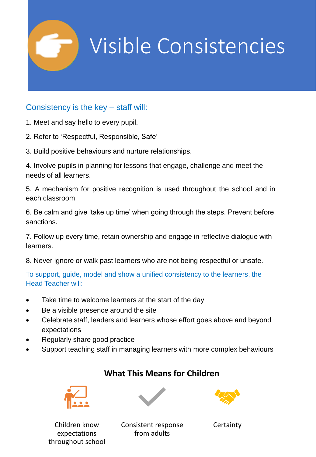

#### Consistency is the key – staff will:

- 1. Meet and say hello to every pupil.
- 2. Refer to 'Respectful, Responsible, Safe'
- 3. Build positive behaviours and nurture relationships.

4. Involve pupils in planning for lessons that engage, challenge and meet the needs of all learners.

5. A mechanism for positive recognition is used throughout the school and in each classroom

6. Be calm and give 'take up time' when going through the steps. Prevent before sanctions.

7. Follow up every time, retain ownership and engage in reflective dialogue with learners.

8. Never ignore or walk past learners who are not being respectful or unsafe.

To support, guide, model and show a unified consistency to the learners, the Head Teacher will:

- Take time to welcome learners at the start of the day
- Be a visible presence around the site
- Celebrate staff, leaders and learners whose effort goes above and beyond expectations
- Regularly share good practice
- Support teaching staff in managing learners with more complex behaviours



#### **What This Means for Children**

Children know expectations throughout school



Consistent response from adults

**Certainty**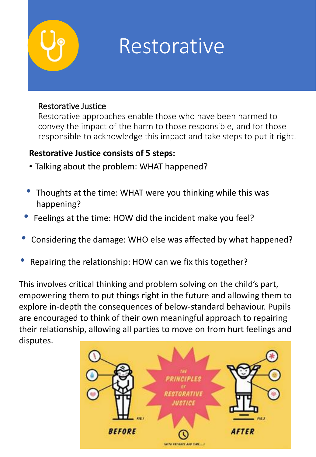# Restorative

#### Restorative Justice

Restorative approaches enable those who have been harmed to convey the impact of the harm to those responsible, and for those responsible to acknowledge this impact and take steps to put it right.

#### **Restorative Justice consists of 5 steps:**

- Talking about the problem: WHAT happened?
- Thoughts at the time: WHAT were you thinking while this was happening?
- Feelings at the time: HOW did the incident make you feel?
- Considering the damage: WHO else was affected by what happened?
- Repairing the relationship: HOW can we fix this together?

This involves critical thinking and problem solving on the child's part, empowering them to put things right in the future and allowing them to explore in-depth the consequences of below-standard behaviour. Pupils are encouraged to think of their own meaningful approach to repairing their relationship, allowing all parties to move on from hurt feelings and disputes.

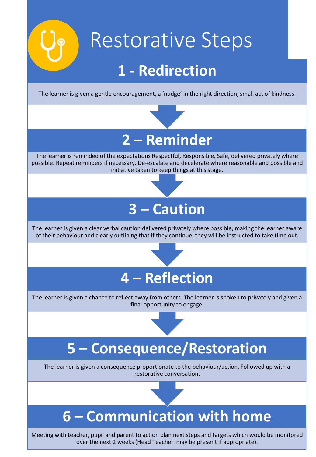# Restorative Steps

### **1 - Redirection**

The learner is given a gentle encouragement, a 'nudge' in the right direction, small act of kindness.



The learner is reminded of the expectations Respectful, Responsible, Safe, delivered privately where possible. Repeat reminders if necessary. De-escalate and decelerate where reasonable and possible and initiative taken to keep things at this stage.

### **3 – Caution**

The learner is given a clear verbal caution delivered privately where possible, making the learner aware of their behaviour and clearly outlining that if they continue, they will be instructed to take time out.

# **4 – Reflection**

The learner is given a chance to reflect away from others. The learner is spoken to privately and given a final opportunity to engage.

### **5 – Consequence/Restoration**

The learner is given a consequence proportionate to the behaviour/action. Followed up with a restorative conversation.

### **6 – Communication with home**

Meeting with teacher, pupil and parent to action plan next steps and targets which would be monitored over the next 2 weeks (Head Teacher may be present if appropriate).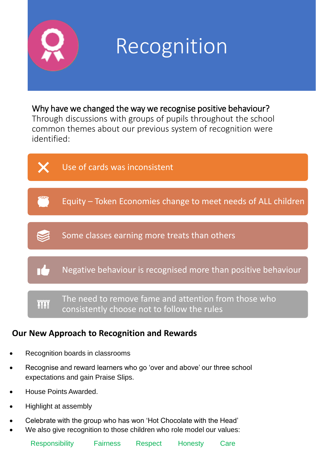

### Why have we changed the way we recognise positive behaviour?

Through discussions with groups of pupils throughout the school common themes about our previous system of recognition were identified:



#### **Our New Approach to Recognition and Rewards**

- Recognition boards in classrooms
- Recognise and reward learners who go 'over and above' our three school expectations and gain Praise Slips.
- House Points Awarded.
- Highlight at assembly
- Celebrate with the group who has won 'Hot Chocolate with the Head'
- We also give recognition to those children who role model our values: